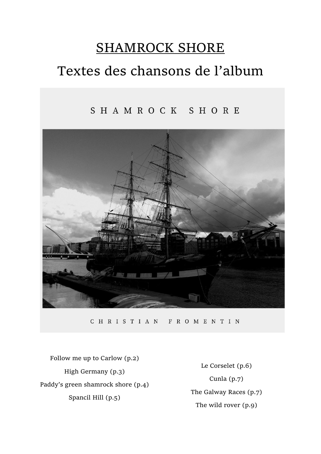# SHAMROCK SHORE Textes des chansons de l'album

### SHAMROCK SHORE



CHRISTIAN FROMENTIN

Follow me up to Carlow (p.2) High Germany (p.3) Paddy's green shamrock shore (p.4) Spancil Hill (p.5)

Le Corselet (p.6) Cunla (p.7) The Galway Races (p.7) The wild rover (p.9)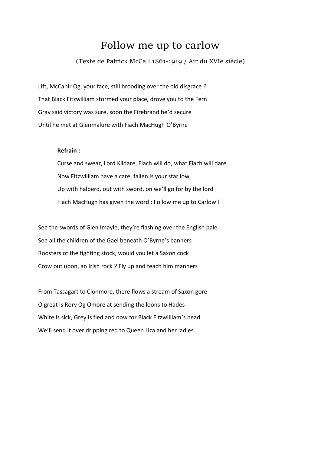# Follow me up to carlow

(Texte de Patrick McCall 1861-1919 / Air du XVIe siècle)

Lift, McCahir Og, your face, still brooding over the old disgrace ? That Black Fitzwilliam stormed your place, drove you to the Fern Gray said victory was sure, soon the Firebrand he'd secure Until he met at Glenmalure with Fiach MacHugh O'Byrne

#### **Refrain :**

Curse and swear, Lord Kildare, Fiach will do, what Fiach will dare Now Fitzwilliam have a care, fallen is your star low Up with halberd, out with sword, on we'll go for by the lord Fiach MacHugh has given the word : Follow me up to Carlow !

See the swords of Glen Imayle, they're flashing over the English pale See all the children of the Gael beneath O'Byrne's banners Roosters of the fighting stock, would you let a Saxon cock Crow out upon, an Irish rock ? Fly up and teach him manners

From Tassagart to Clonmore, there flows a stream of Saxon gore O great is Rory Og Omore at sending the loons to Hades White is sick, Grey is fled and now for Black Fitzwilliam's head We'll send it over dripping red to Queen Liza and her ladies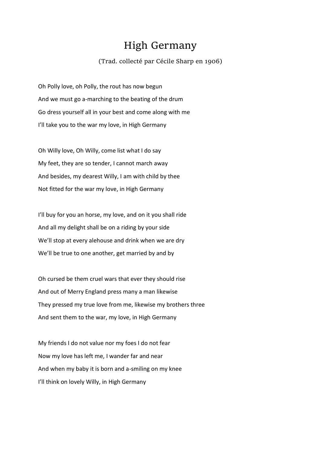# High Germany

#### (Trad. collecté par Cécile Sharp en 1906)

Oh Polly love, oh Polly, the rout has now begun And we must go a-marching to the beating of the drum Go dress yourself all in your best and come along with me I'll take you to the war my love, in High Germany

Oh Willy love, Oh Willy, come list what I do say My feet, they are so tender, I cannot march away And besides, my dearest Willy, I am with child by thee Not fitted for the war my love, in High Germany

I'll buy for you an horse, my love, and on it you shall ride And all my delight shall be on a riding by your side We'll stop at every alehouse and drink when we are dry We'll be true to one another, get married by and by

Oh cursed be them cruel wars that ever they should rise And out of Merry England press many a man likewise They pressed my true love from me, likewise my brothers three And sent them to the war, my love, in High Germany

My friends I do not value nor my foes I do not fear Now my love has left me, I wander far and near And when my baby it is born and a-smiling on my knee I'll think on lovely Willy, in High Germany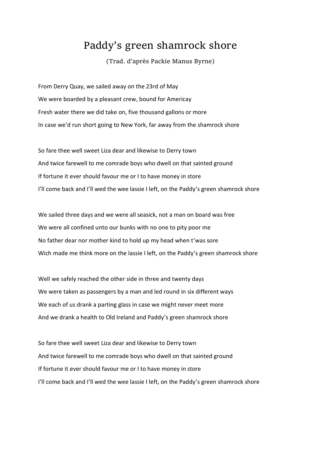# Paddy's green shamrock shore

(Trad. d'après Packie Manus Byrne)

From Derry Quay, we sailed away on the 23rd of May We were boarded by a pleasant crew, bound for Americay Fresh water there we did take on, five thousand gallons or more In case we'd run short going to New York, far away from the shamrock shore

So fare thee well sweet Liza dear and likewise to Derry town And twice farewell to me comrade boys who dwell on that sainted ground If fortune it ever should favour me or I to have money in store I'll come back and I'll wed the wee lassie I left, on the Paddy's green shamrock shore

We sailed three days and we were all seasick, not a man on board was free We were all confined unto our bunks with no one to pity poor me No father dear nor mother kind to hold up my head when t'was sore Wich made me think more on the lassie I left, on the Paddy's green shamrock shore

Well we safely reached the other side in three and twenty days We were taken as passengers by a man and led round in six different ways We each of us drank a parting glass in case we might never meet more And we drank a health to Old Ireland and Paddy's green shamrock shore

So fare thee well sweet Liza dear and likewise to Derry town And twice farewell to me comrade boys who dwell on that sainted ground If fortune it ever should favour me or I to have money in store I'll come back and I'll wed the wee lassie I left, on the Paddy's green shamrock shore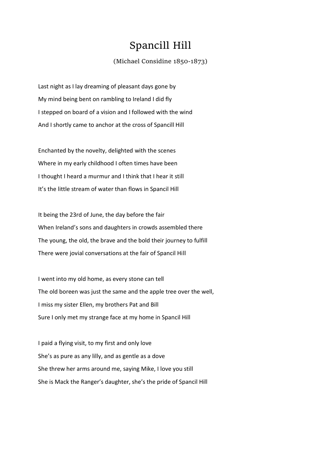# Spancill Hill

#### (Michael Considine 1850-1873)

Last night as I lay dreaming of pleasant days gone by My mind being bent on rambling to Ireland I did fly I stepped on board of a vision and I followed with the wind And I shortly came to anchor at the cross of Spancill Hill

Enchanted by the novelty, delighted with the scenes Where in my early childhood I often times have been I thought I heard a murmur and I think that I hear it still It's the little stream of water than flows in Spancil Hill

It being the 23rd of June, the day before the fair When Ireland's sons and daughters in crowds assembled there The young, the old, the brave and the bold their journey to fulfill There were jovial conversations at the fair of Spancil Hill

I went into my old home, as every stone can tell The old boreen was just the same and the apple tree over the well, I miss my sister Ellen, my brothers Pat and Bill Sure I only met my strange face at my home in Spancil Hill

I paid a flying visit, to my first and only love She's as pure as any lilly, and as gentle as a dove She threw her arms around me, saying Mike, I love you still She is Mack the Ranger's daughter, she's the pride of Spancil Hill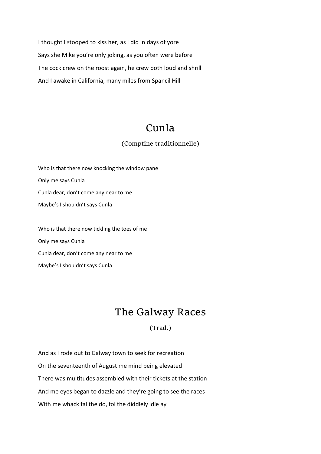I thought I stooped to kiss her, as I did in days of yore Says she Mike you're only joking, as you often were before The cock crew on the roost again, he crew both loud and shrill And I awake in California, many miles from Spancil Hill

# Cunla

#### (Comptine traditionnelle)

Who is that there now knocking the window pane Only me says Cunla Cunla dear, don't come any near to me Maybe's I shouldn't says Cunla

Who is that there now tickling the toes of me Only me says Cunla Cunla dear, don't come any near to me Maybe's I shouldn't says Cunla

# The Galway Races

(Trad.)

And as I rode out to Galway town to seek for recreation On the seventeenth of August me mind being elevated There was multitudes assembled with their tickets at the station And me eyes began to dazzle and they're going to see the races With me whack fal the do, fol the diddlely idle ay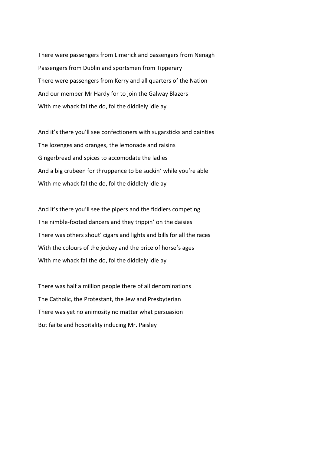There were passengers from Limerick and passengers from Nenagh Passengers from Dublin and sportsmen from Tipperary There were passengers from Kerry and all quarters of the Nation And our member Mr Hardy for to join the Galway Blazers With me whack fal the do, fol the diddlely idle ay

And it's there you'll see confectioners with sugarsticks and dainties The lozenges and oranges, the lemonade and raisins Gingerbread and spices to accomodate the ladies And a big crubeen for thruppence to be suckin' while you're able With me whack fal the do, fol the diddlely idle ay

And it's there you'll see the pipers and the fiddlers competing The nimble-footed dancers and they trippin' on the daisies There was others shout' cigars and lights and bills for all the races With the colours of the jockey and the price of horse's ages With me whack fal the do, fol the diddlely idle ay

There was half a million people there of all denominations The Catholic, the Protestant, the Jew and Presbyterian There was yet no animosity no matter what persuasion But failte and hospitality inducing Mr. Paisley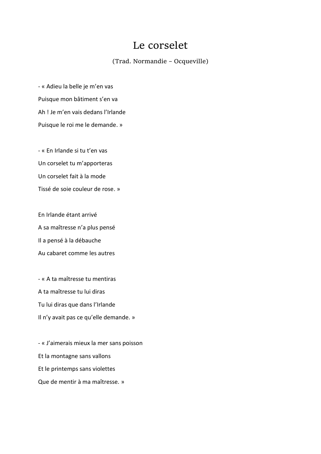### Le corselet

(Trad. Normandie – Ocqueville)

- « Adieu la belle je m'en vas Puisque mon bâtiment s'en va Ah ! Je m'en vais dedans l'Irlande Puisque le roi me le demande. »

- « En Irlande si tu t'en vas Un corselet tu m'apporteras Un corselet fait à la mode Tissé de soie couleur de rose. »

En Irlande étant arrivé A sa maîtresse n'a plus pensé Il a pensé à la débauche Au cabaret comme les autres

- « A ta maîtresse tu mentiras A ta maîtresse tu lui diras Tu lui diras que dans l'Irlande Il n'y avait pas ce qu'elle demande. »

- « J'aimerais mieux la mer sans poisson Et la montagne sans vallons Et le printemps sans violettes Que de mentir à ma maîtresse. »